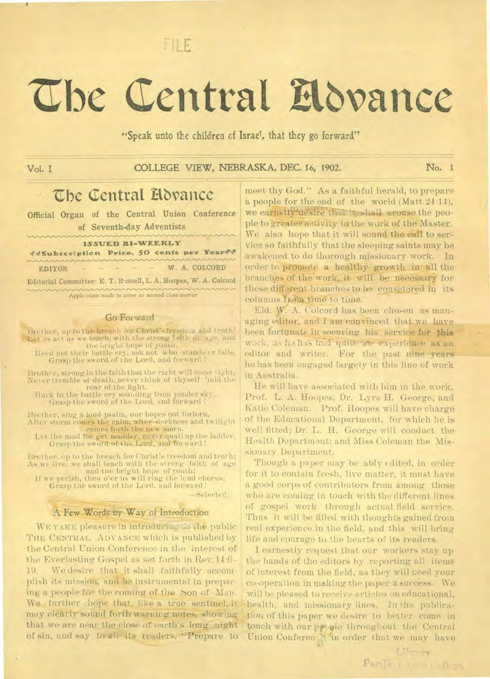FILE

# **Abe Central Ethvance**

"Speak unto the children cf Israel, that they go forward,"

**Vol. I COLLEGE VIEW, NEBRASKA, DEC. 16,** 1902. **No. I** 

# **The Central Hovance**

Official Organ of the Central Union Conference of Seventh-day Adventists

| <u>UMMMMMWWWWWWWW</u> | <b>ISSUED BI-WEEKLY</b>                                         |
|-----------------------|-----------------------------------------------------------------|
|                       | VVSubscription Price, 50 cents per Yearvy                       |
|                       | mananananananananananananan<br>$EDITOR - - - - W, A. COLCORD$   |
|                       | Editorial Committee: E. T. Russell, L. A. Hoopes, W. A. Colcord |

Application made to enter as second class mater

## Go Forward

Brether, up to the breach for Christ's freedom and truth! Let us act as we teach, with the strong faith or age, and the bright hope of youth.

Heed not their battle cry, ask not who stands or falls, Grasp the sword of the Lord, and forward !

Brother, strong in the faith that the right will come light, Never tremble at death, never think of thyself 'mid the roar of the fight.

Hark to the battle cry sounding from yonder sky, Grasp the sword of the Lord, and forward !

Brother, sing a loud psalm, our hopes not forlorn, After storm comes the calm, after darkness and twilight comes forth the new morn.

Let the mad foe get madder, never quail up the ladder, Grasp the sword of the Lord, and forward!

Brother, up to the breach for Christ's I reedom and truth: As we live, we shall teach with the strong faith of age and the bright hope of youth:

If we perish, then o'er us will ring the loud chorus, Grasp the sword of the Lord, and forward!

—Select d.

## A Few Words by Way of Introduction

WE TAKE pleasure in introducing to the public THE CENTRAL ADVANCE which is published by the Central Union Conference in the interest of the Everlasting Gospel as set forth in Rev. 14:6-19. We desire that it shall faithfully accomplish its mission, and be instrumental in preparing a people for the coming of the Son of Man. We further hope that, like a true sentinel, it may clearly sound fOrth warning notes, showing that we are near the close of earth's long night of sin, and say to all its readers, "Prepare to

meet thy God." As a faithful herald, to prepare a people for the end of the world (Matt.24:14), we earnstly aesire that it shall arouse the people to greater activity in the work of the Master. We also hope that it will sound the call to service so faithfully that the sleeping saints may be awakened to do thorough missionary work. In order to promote a healthy-growth in all the branches of the work, it will be necessary for these different branches to be-considered in its columns from time to time.

Eld. W. A. Colcord has been chosen as managing editor, and I am convinced that we have been fortunate,in securing his service for this work, as he has had quite an experience as an editor and writer. For the past nine years he has been engaged largely in this line of work in Australia.

He will have associated with him in the work, Prof. L. A. Hoopes, Dr. Lyra H. George, and Katie Coleman. Prof. Hoopes will have charge of the Educational Department, for which he is well fitted; Dr. L. H. George will conduct the Health Department; and Miss Coleman the Missionary Department.

Though a paper may be ably edited, in order for it to contain fresh, live matter, it must have a good corps of contributors from among those who are coming in touch with the different lines of gospel work through actual field service. Thus it will be tilled with thoughts gained from real experience in the field, and this will bring life and courage to the hearts of its readers.

I earnestly request that our workers stay up the hands of the editors by reporting all items of interest from the field, as they will need your co-operation in making the paper a success. We will be pleased to receive articles on educational, health, and missionary lines. In the publication of this paper we desire to better come in touch with our people throughout the Central Union Conferen<sub>1</sub> in order that we may have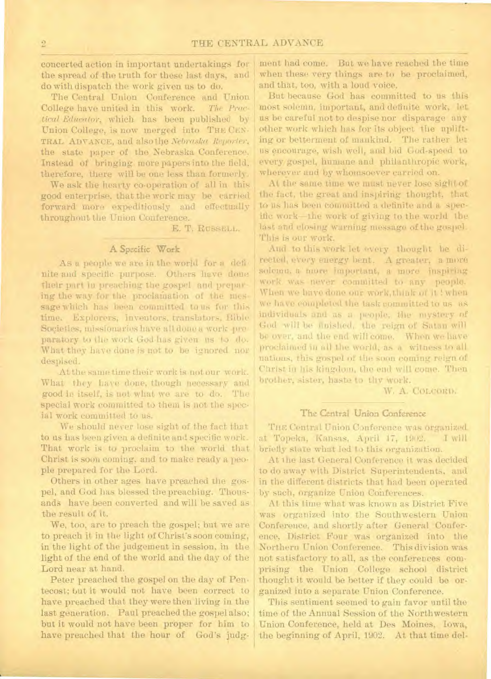concerted action in important undertakings for the spread of the truth for these last days, and do with dispatch the work given us to do.

The Central Union Conference and Union College have united in this work. *The Practical Educator,* which has been published by Union College, is now merged into THE CEN-TRAL ADVANCE, and also the *Nebraska Reporter,*  the state paper of the Nebraska Conference. Instead of bringing more papers into the field, therefore, there will he one less than formerly.

We ask the hearty co-operation of all in this good enterprise, that the work may be carried forward more expeditiously and effectually throughout the Union Conference.

E. T. RUSSELL.

# A Specific Work

As a people we are in the world for a definite and specific purpose. Others have done their part in preaching the gospel and preparing the way for the proclamation of the message which has been committed to us for this time. Explorers, inventors, translators, Bible Societies, missionaries have all done a work preparatory to the work God has given us to do. What they have done is not to be ignored nor despised.

At the same time their work is not our work. What they have done, though necessary and good in itself, is not what we are to do. The special work committed to them is not the special work committed to us.

We should never lose sight of the fact that to us has been given a definite and specific work. That work is to proclaim to the world that Christ is soon coming, and to make ready a people prepared for the Lord.

Others in other ages have preached the gospel, and God has blessed the preaching. Thousands have been converted and will be saved as the result of it.

We, too, are to preach the gospel; but we are to preach it in the light of Christ's soon coming, in the light of the judgement in session, in the light of the end of the world and the day of the Lord near at hand.

Peter preached the gospel on the day of Pentecost; but it would not have been correct to have preached that they were then living in the last generation. Paul preached the gospel also; but it would not have been proper for him to have preached that the hour of God's judg-

ment had come. But we have reached the time when these very things are to be proclaimed, and that, too, with a loud voice.

But because God has committed to us this most solemn, important, and definite work, let us be careful not to despise nor disparage any ether work which has for its object the uplift. ing or betterment of mankind. The rather let us encourage, wish well, and bid God-speed to every gospel, humane and philanthropic work, whereyer and by whomsoever carried on.

At the same time we must never lose sight of the fact, the great and inspiring thought, that to us has been committed a definite and a specific work—the work of giving to the world the last and closing warning message of the gospel. This is our work.

And to this work let every thought be directed, every energy bent. A greater, a more solemn, a more important, a more inspiring work was never committed to any people. When we have done our work, think of it ! when we have completed the task committed to us as individuals and as a people, the mystery of God will be finished, the reign of Satan will be over, and the end will come. When we have proclaimed in all the world, as a witness to all nations, this gospel of the soon coming reign of Christ in his kingdom, the end will come. Then brother, sister, haste to thy work.

W. A. CoLemtp.

# The Central Union Conference

THE Central Union Conference was organized at Topeka, Kansas, April 17, 1902. I will briefly state what led to this organization.

At the last General Conference it was decided. to do away with District Superintendents, and in the different districts that had been operated by such, organize Union Conferences.

At this time what was known as District Five was organized into the Southwestern Union Conference, and shortly after General Conference, District Four was organized into the Northern Union Conference. This division was not satisfactory to all, as the conferences comprising the Union College school district thought it would be better if they could be organized into a separate Union Conference.

This sentiment seemed to gain favor until the time of the Annual Session of the Northwestern Union Conference, held at Des Moines, Iowa, the beginning of April, 1902. At that time del-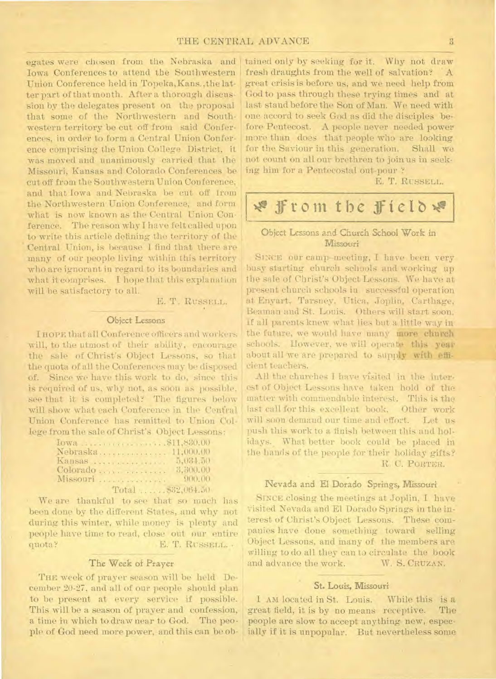## THE CENTRAL ADVANCE 3

egates were chosen from the Nebraska and Iowa Conferences to attend the Southwestern Union Conference held in Topeka,Kans.,the latter part of that month. After a thorough discussion by the delegates present on the proposal that some of the Northwestern and Southwestern territory be cut off from said Conferences, in order to form a Central Union Conference comprising the Union College District, it was moved and unanimously carried that the Missouri, Kansas and Colorado Conferences be cut off from the Southwestern Union Conference, and that Iowa and Nebraska be cut off from the Northwestern Union Conference, and form what is now known as the Central Union Conference. The reason why I have felt called upon to write this article defining the territory of the Central Union, is because I find that there are many of our people living within this territory who are ignorant in regard to its boundaries and what it comprises. I hope that this explanation will be satisfactory to all.

E. T. RUSSELL.

#### Object Lessons

I HOPE that all Conference officers and workers will, to the utmost of their ability, encourage the sale of Christ's Object Lessons, so that the quota of all the Conferences may be disposed of. Since we have this work to do, since this is required of us, why not, as soon as possible, see that it is completed? The figures below will show what each Conference in the Cenfral Union Conference has remitted to Union College from the sale of Christ's Object Lessons:

| Conference has remitted to Union     |
|--------------------------------------|
| om the sale of Christ's Object Lesso |
| Iowa 811,830.00                      |
| Nebraska 11,000.00                   |
| Kansas  5,034.50                     |
|                                      |
| Missouri  900.00                     |
| Total $332,064.50$                   |
| are thankful to see that so mucl     |
| one by the different States, and wh  |

We are thankful to see that so much has been done by the different States, and why not during this winter, while money is plenty and people have time to read, close out our entire quota? E. T. RUSSELL. .

#### The Week of Prayer

THE week of prayer season will be held December 20-27, and all of our people should plan to be present at every service if possible. This will be a season of prayer and confession, a time in which to draw near to God. The people of God need more power, and this can be obtained only by seeking for it. Why not draw fresh draughts from the well of salvation? A great crisis is before us, and we need help from Cod to pass through these trying times and at last stand before the Son of Man. We need with one accord to seek God as did the disciples before Pentecost. A people never needed power more than does that people who are looking for the Saviour in this generation. Shall we not count on all our brethren to join us in seeking him for a Pentecostal out-pour ?

E. T. RUSSELL.

# **Ixeffrom the ifietbx,**

# Object Lessons and Church School Work in **Missouri**

SINCE our camp-meeting, I have been very busy starting church schools and working up the sale of Christ's Object Lessons. We have at present church schools in successful operation t Enyart, Tarsney, Utica, Joplin, Carthage, Beaman and St. Louis. Others will start soon. If all parents knew what lies but a little way in the future, we would have many more church schools. However, we will operate this year about all we are prepared to supply with efficient teachers.

All the churches I have visited in the interest of Object Lessons have taken hold of the matter with commendable interest. This is the last call for this excellent book. Other work will soon demand our time and effort. Let us push this work to a finish between this and holidays. What better book could be placed in the hands of the people for their holiday gifts? R. C. PORTER.

# Nevada and El Dorado Springs, Missouri

SINCE closing the meetings at Joplin, I have visited Nevada and El Dorado Springs in the in terest of Christ's Object Lessons. These companies have done something toward selling Object Lessons, and many of the members are willing to do all they can to circulate the book<br>and advance the work. W. S. CRUZAN. and advance the work.

#### St. Louis, Missouri

I AM located in St. Louis. While this is a great field, it is by no means receptive. people are slow to accept anything new, especially if it is unpopular. But nevertheless some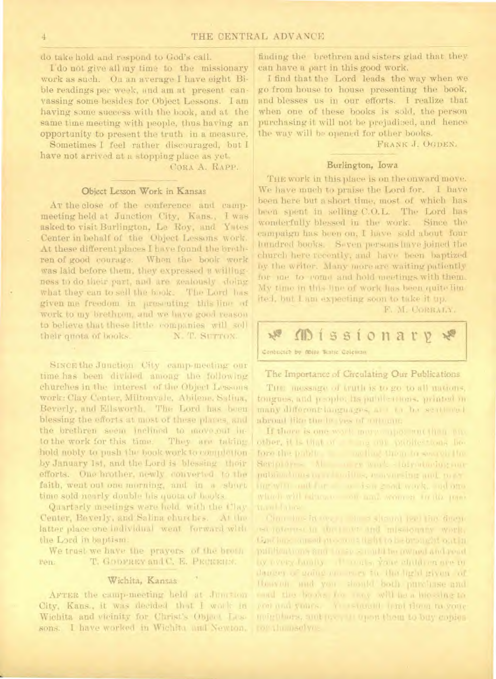do take hold and respond to God's call.

I'do not give all my time to the missionary work as such. On an average I have eight Bible readings per week, and am at present canvassing some besides for Object Lessons. I am having some success with the book, and at the same time meeting with people, thus having an opportunity to present the truth in a measure.

Sometimes I feel rather discouraged, but I have not arrived at a stopping place as yet.

CORA A. RAPP.

### Object Lesson Work in Kansas

At the close of the conference and campmeeting held at Junction City, Kans., I was asked to visit Burlington, Le Roy, and Yates Center in behalf of the Object Lessons work. At these different places I have found the brathren of good courage. When the book work was laid before them, they expressed a willingness to do their part, and are zealously doing what they can to sell the book. The Lord has given me freedom in presenting this line of work to my brethron, and we have good reason to believe that these little companies will soll N. T. SUTTOM. their grota of books.

SINCE the Junction City camp-meeting our time has been divided among the following churches in the interest of the Object Lessons work: Clay Center, Miltonvale, Abileme, Safina, Beverly, and Ellsworth. The Lord has been blessing the efforts at most of these places, and the brethren seem inclined to move out into the work for this time. They are taking hold nobly to push the book work to completion by January 1st, and the Lord is blessing their efforts. One brother, newly converted to the faith, went out one morning, and in a short time sold nearly double his quota of hacks.

Quartarly meetings were held with the Clay Center, Beverly, and Salina churches. At the latter place one individual went. forward with the Lord in baptism.

We trust we have the prayers of the broth T. GODFREY and C. E. PECKERT. Pén.

#### Wichita, Kansas

AFTER the camp-meeting held at Junition City, Kans., it was decided that I work in Wichita and vicinity for Christ's Object Lessons. I have worked in Wichita and Newton. finding the brethren and sisters glad that they can have a part in this good work.

I find that the Lord leads the way when we go from house to house presenting the book, and blesses us in our efforts. I realize that when one of these books is sold, the person purchasing it will not be prejudized, and hence the way will be opened for other books.

FRANK J. OGDEN.

#### Burlington, Iowa

THE work in this place is on the onward move. We have much to praise the Lord for. I have been here but a short time, most of which has been spent in selling C.O.L. The Lord has wonderfully blessed in the work. Since the campaign has been on. I have sold about four hundred books. Seven persons have joined the church here recently, and have been baptized by the writer. Many more are waiting patiently for one to come and hold meetings with them. My time in this line of work has been quite limited, but I am expecting soon to take it up.

F. M. CORBALY.



#### The Importance of Circulating Our Publications

The message of truth is to go to all mations, tongues, and preople; hs publications, printed in many different languages, all the sentimed abroad like the between militant.

If there is one work more apor ant then and other, it is that of the one public tons before the public and find them to search the Seriolor - Al a rework - larratadoguar publications or related this, moreoversing and, power ing with and for a is a good work, sad one which will relate to an and sconton in the pass

Com has in the state of straint teet the diagno est toternst to the last and missionary work, Conting misselence on a fight to be brought out in publications and to see a multi be owned and read by receipt family and a market student are in dences of gaing on mey the the light given of Houvon, and you should both purchase and eard the books for may will be a bio-sing to con and yours. Ye istuall lead them to vone mornings, and pressure open them to buy conies ro" thumselves

4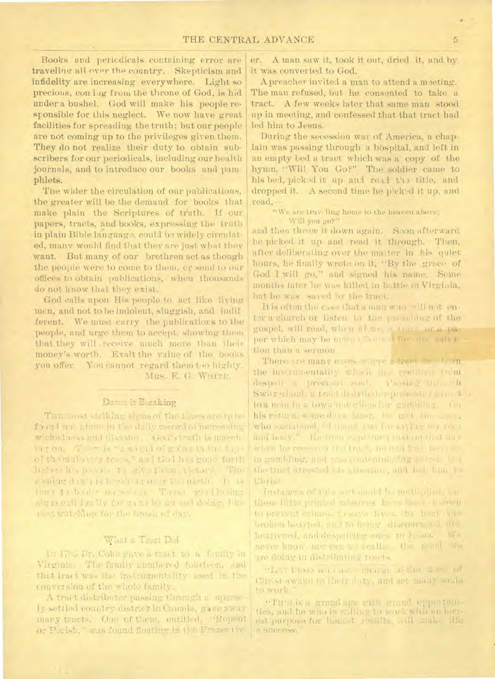Books and periodicals containing error are traveling all over the country. Skepticism and infidelity are increasing everywhere. Light so precious, con jug from the throne of God, is hid under a bushel. God will make his people responsible for this neglect. We now have great facilities for spreading the truth; but our people are not coming up to the privileges given them. They do not realize their duty to obtain subscribers for our periodicals, including our health journals, and to introduce our books and pamphlets.

The wider the circulation of our publications, the greater will be the demand for books that make plain the Scriptures of truth. If our papers, tracts, and books, expressing the truth in plain Bible language, could be widely circulated, many would find that they are just what they want. But many of our brethren act as though the people were to come to them, or send to our offices to obtain publications, when thousands do not know that they exist.

God calls upon His people to act like living men, and not to be indolent, sluggish, and indif ferent. We must carry the publications to the people, and urge them to accept, showing them that they will receive much more than their money's worth. Exalt the value of the books you offer. You cannot regard them too highly. MRS. E. G. WHITE.

# Dawn is Breaking

Tiru most staking si, us of the threshed ip be four i not alone in the daily record at increasing wicked uses and disaster (Cod's truth is ameritur ou, There is "a sound of going in the same of themulaeny trees," and Gol has gone forth habes his points to cive them victory. The evolue davais bendingny plan parth. I la time to had a messal vi These gladiesing al ; is call fon liv for us no be up and doing, like men watching for the break of thy.

# What a Tract Did

in 17th Dr. Coke gave a tract to a family in Virginia. The family numbered fourteen, and that bract was the instrumentality used in the conversion of the whole family.

A tract distributor passing through a sparsely settled country district in Camada, gave away many tracts. One of them, eatitled. "Repeat or Parish." was found floating in the Frazertiv-

er. A man saw it, took it out, dried it, and by it was converted to God.

A preacher invited a man to attend a meeting. The man refused, but he consented to take a tract. A few weeks later that same man stood up in meeting, and confessed that that tract had led him to Jesus.

During the secession war of America, a chaplain was passing through a hospital, and left in an empty bed a tract which was a copy of the hymn, "Will You Go?" The soldier came to his bed, picked it up and read the title, and dropped it. A second time he picked it up, and read.

"We are traveling home to the heaven above: Will you go?"

and then throw it down again. Soon afterward he picked it up and read it through. Then, after deliberating over the matter in his quiet hours, he finally wrote on it, "By the grace of God I will go," and signed his name. Some months later he was killed in battle in Virginia, but he was saved by the tract.

It is often the case that a man who will not enter a church or listen to the preaching of the gospel, will read, when alone, a tract area paper which may be morn the not for the salvation than a sermon.

There are many cases where a truet bas been the instrumentality which has restored tom despair a precious soul. Passing them he Switz-claud, a tract distributer presenter alon beto a man to a town not afons for gambing. On his return, some days have, bu met tin anne, who exclaimed. Si then you for saving my some and body." He then its planned that on that this when he reserves the trace, he and her hearthin gambling, and we contential ing suicide bet the tract arrested the attorney, and led him to Christ

Instances of this art and I hammetighed, has these fifthe printed missives In an head bounded to provent erlums, to save fives, me head vioinsized hearing, and to bring discourance, are hearlened, and despaising ones to desire. **AV-3** never know, nor our we realize, the gami we tre doing in distributing resers.

"Lattes with a charge a the Late of Circle swake to their daty, and set many souls. to work.

"Tura is a grand age with grand epportunties, and he who is willing to work with an houest purpose for honout results, will make the **IL SURFERNO**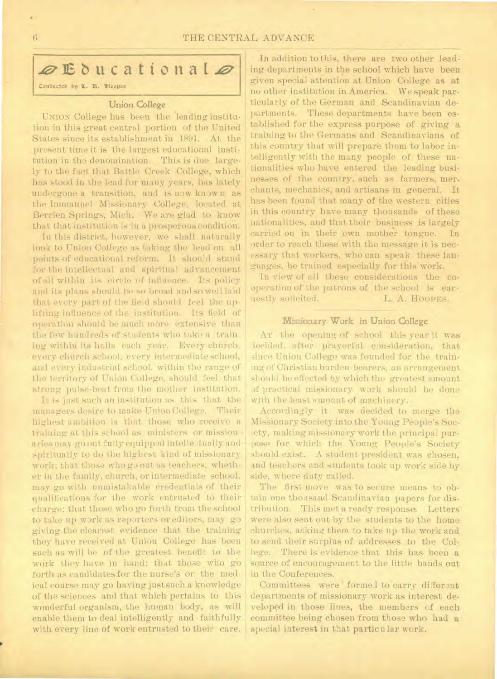# THE CENTRAL ADVANCE

# $\mathscr{D}$ Educational $\mathscr{D}$

Conducted by L. H. Hoopes

#### Union College

UNION College has been the 'leading institution in this great central portion of the United States since its establishment in 1891. At the present time it is the largest educational institution in the denomination. This is due largely to the fact that Battle Creek College, which has stood in the lead for many years, has lately undergone a transition, and is now known as the Immanuel Missionary College, located at Berrien Springs, Mich. We are glad to know that that institution is in a prosperous condition.

In this district, however, we shall naturally look to Union College as taking the lead on all points of educational reform. It should stand for the intellectual and spiritual advancement of all within its circle of influence. Its policy and its plans should be so broad and so well laid that every part of the field should feel the uplifting influence of the institution. Its field of operation should be much more extensive than the few hundreds of students who take a train ing within its halls each year. Every church, every church school, every intermediate school, and every industrial school. within the range of the territory of Union College, should feel that strong pulse-beat from the mother institution.

It is just such an institution as this that the managers desire to make Union College. Their highest ambition is that those who receive a training at this school as ministers or missionaries may go out fully equipped intellectually and spiritually to do the highest kind of missionary work; that those who go out as teachers, whether in the family, church, or intermediate school, may go with unmistakable credentials of their qualifications for the work entrusted to their charge; that those who go forth from the school to take up work as reporters or editors, may go giving the clearest evidence that the training they have received at Union College has been such as will be of the greatest benefit to the work they have in hand; that those who go forth as candidates for the nurse's or the medical course may go having just such a knowledge of the sciences and that which pertains to this wonderful organism, the human body, as will enable them to deal intelligently and faithfully with every line of work entrusted to their care.

In addition to this, there are two other leading departments in the school which have been given special attention at Union College as at no other institution in America. We speak particularly of the German and Scandinavian departments. These departments have been established for the express purpose of giving a training to the Germans and Scandinavians of this country that will prepare them to labor intelligently with the many people of these nationalities who have entered the leading businesses of the country, such as farmers, merchants, mechanics, and artisans in general. It has been found that many of the western cities in this country have many thousands of these nationalities, and that their business is largely carried on in their own mother tongue. In order to reach these with the message it is necessary that workers, who can speak these languages, be trained especially for this work.

In view of all these considerations the cooperation of the patrons of the school is ear-<br>uestly solicited.  $L_i$  A. Hoopes. nestly solicited.

## Missionary Work in Union College

AT the opening of school this year it was decided. after prayerful consideration, that since Union College was founded for the training of Christian burden• bearers, an arrangement should be effected by which the greatest amount of practical missionary work should be done with the least amount of machinery.

Accordingly it was decided to merge the MisSionary Society into the Young People's Society, making missionary work the principal purpose for which the Young People's Society should exist. A student president was chosen, and teachers and students took up work side by side, where duty called.

The first move was to secure means to obtain one thousand Scandinavian papers for distribution. This meta ready response. Letters were also sent out by the students to the home churches, asking them to take up the work and to send their surplus of addresses to the College. There is evidence that this has been a source of encouragement to the little bands out in the Conferences.

Committees were formed to carry different departments of missionary work as interest developed in those lines, the members of each committee being chosen from those who had a special interest in that particular work.

 $\, 6$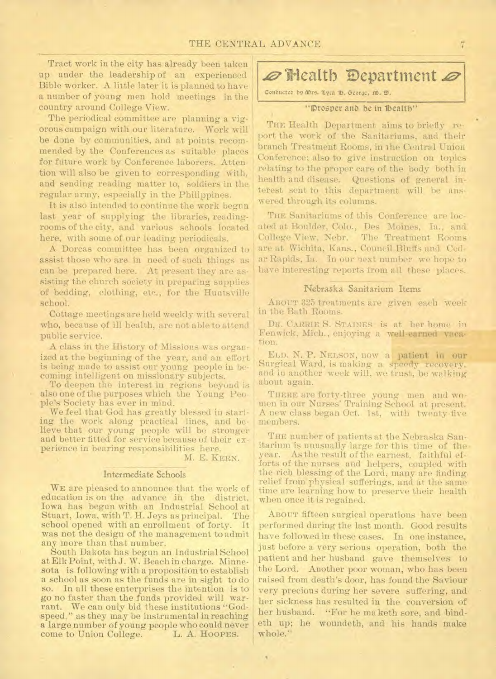## THE CENTRAL ADVANCE

Tract work in the city has already been taken up under the leadership of an experienced Bible worker. A little later it is planned to have a number of young men hold meetings in the country around College View.

The periodical committee are planning a vigorous campaign with our literature. Work will be done by communities, and at points recommended by the Conferences as suitable places for future work by Conference laborers. Attention will also be given to corresponding with, and sending reading matter to, soldiers in the regular army, especially in the Philippines.

It is also intended to continue the work begun last year of supplying the libraries, readingrooms of the city, and various schools located here, with some of our leading periodicals.

A Dorcas committee has been organized to assist those who are in need of such things as can be prepared here. At present they are assisting the church society in preparing supplies of bedding, clothing, etc., for the Huntsville school.

Cottage meetings are held weekly with several who, because of ill health, are not able to attend public service.

A class in the History of Missions was organized at the beginning of the year, and an effort is being made to assist our young people in becoming intelligent on missionary subjects.

To deepen the interest in regions beyond is also one of the purposes which the Young People's Society has ever in mind.

We feel that God has greatly blessed in starting the work along practical lines, and believe that our young people will be stronger and better fitted for service because of their experience in bearing responsibilities here.

M. E. KERN.

 $\lambda$ 

#### Intermediate Schools

WE are pleased to announce that the work of education is on the advance in the district. Iowa has begun with an Industrial School at Stuart, Iowa, with T. H. Jeys as principal. The school opened with an enrollment of forty. It was not the design of the management to admit any more than that number.

South Dakota has begun an Industrial School at Elk Point, with J. W. Beach in charge. Minnesota is following with a proposition to establish a school as soon as the funds are in sight to do so. In all these enterprises the intention is to go no faster than the funds provided will warrant. We can only bid these institutions "Godspeed," as they may be instrumental in reaching a large number of young people who could never come to Union College.

# $\emptyset$  **Health Department**  $\emptyset$

Conducted by Mrs. Lyra D. George, M. D.

#### "Prosper and be in Ibealth"

THE Health Department aims to briefly report the work of the Sanitariums, and their branch Treatment Rooms, in the Central Union Conference; also to give instruction on topics relating to the proper care of the body both in health and disease. Questions of general interest sent to this department will be answered through its columns.

THE Sanitariums of this Conference are located at Boulder, Colo., Des Moines, Ia., and College View, Nebr. The Treatment Rooms are at Wichita, Kans., Council Bluffs and Cedar Rapids, Ia. In our next number we hope to have interesting reports from all these places.

### Nebraska Sanitarium Items

ABOUT 325 treatments are given each week in the Bath Rooms.

Du\_ CARRIE S. STAINES is at her home in Fenwick, Mich., enjoying a well-earned vacation.

ELD. N. P. NELSON, now a patient in our Surgical Ward, is making a speedy recovery, and in another week will, we trust, be walking about again.

THERE are forty-three young men and women in our Nurses' Training School at present. A new class began Oct. 1st, with twenty-five members.

THE number of patients at the Nebraska Sanitarium is unusually large for this time of the year. As the result of the earnest, faithful efforts of the nurses and helpers, coupled with the rich blessing of the Lord, many are finding. relief from physical sufferings, and at the same time are learning how to preserve their health when once it is regained.

ABOUT fifteen surgical operations have been performed during the last month. Good results have followed in these cases. In one instance, just before a very serious operation, both the patient and her husband gave themselves to the Lord. Another poor woman, who has been raised from death's door, has found the Saviour very precious during her severe suffering, and her sickness has resulted in the conversion of her husband. "For he ma keth sore, and bindeth up; he woundeth, and his hands make whole."